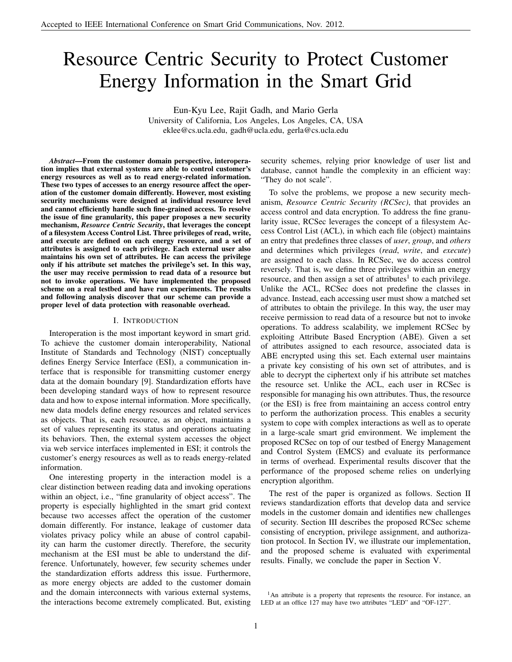# Resource Centric Security to Protect Customer Energy Information in the Smart Grid

Eun-Kyu Lee, Rajit Gadh, and Mario Gerla University of California, Los Angeles, Los Angeles, CA, USA eklee@cs.ucla.edu, gadh@ucla.edu, gerla@cs.ucla.edu

*Abstract*—From the customer domain perspective, interoperation implies that external systems are able to control customer's energy resources as well as to read energy-related information. These two types of accesses to an energy resource affect the operation of the customer domain differently. However, most existing security mechanisms were designed at individual resource level and cannot efficiently handle such fine-grained access. To resolve the issue of fine granularity, this paper proposes a new security mechanism, *Resource Centric Security*, that leverages the concept of a filesystem Access Control List. Three privileges of read, write, and execute are defined on each energy resource, and a set of attributes is assigned to each privilege. Each external user also maintains his own set of attributes. He can access the privilege only if his attribute set matches the privilege's set. In this way, the user may receive permission to read data of a resource but not to invoke operations. We have implemented the proposed scheme on a real testbed and have run experiments. The results and following analysis discover that our scheme can provide a proper level of data protection with reasonable overhead.

#### I. INTRODUCTION

Interoperation is the most important keyword in smart grid. To achieve the customer domain interoperability, National Institute of Standards and Technology (NIST) conceptually defines Energy Service Interface (ESI), a communication interface that is responsible for transmitting customer energy data at the domain boundary [9]. Standardization efforts have been developing standard ways of how to represent resource data and how to expose internal information. More specifically, new data models define energy resources and related services as objects. That is, each resource, as an object, maintains a set of values representing its status and operations actuating its behaviors. Then, the external system accesses the object via web service interfaces implemented in ESI; it controls the customer's energy resources as well as to reads energy-related information.

One interesting property in the interaction model is a clear distinction between reading data and invoking operations within an object, i.e., "fine granularity of object access". The property is especially highlighted in the smart grid context because two accesses affect the operation of the customer domain differently. For instance, leakage of customer data violates privacy policy while an abuse of control capability can harm the customer directly. Therefore, the security mechanism at the ESI must be able to understand the difference. Unfortunately, however, few security schemes under the standardization efforts address this issue. Furthermore, as more energy objects are added to the customer domain and the domain interconnects with various external systems, the interactions become extremely complicated. But, existing security schemes, relying prior knowledge of user list and database, cannot handle the complexity in an efficient way: "They do not scale".

To solve the problems, we propose a new security mechanism, *Resource Centric Security (RCSec)*, that provides an access control and data encryption. To address the fine granularity issue, RCSec leverages the concept of a filesystem Access Control List (ACL), in which each file (object) maintains an entry that predefines three classes of *user*, *group*, and *others* and determines which privileges (*read*, *write*, and *execute*) are assigned to each class. In RCSec, we do access control reversely. That is, we define three privileges within an energy resource, and then assign a set of attributes<sup>1</sup> to each privilege. Unlike the ACL, RCSec does not predefine the classes in advance. Instead, each accessing user must show a matched set of attributes to obtain the privilege. In this way, the user may receive permission to read data of a resource but not to invoke operations. To address scalability, we implement RCSec by exploiting Attribute Based Encryption (ABE). Given a set of attributes assigned to each resource, associated data is ABE encrypted using this set. Each external user maintains a private key consisting of his own set of attributes, and is able to decrypt the ciphertext only if his attribute set matches the resource set. Unlike the ACL, each user in RCSec is responsible for managing his own attributes. Thus, the resource (or the ESI) is free from maintaining an access control entry to perform the authorization process. This enables a security system to cope with complex interactions as well as to operate in a large-scale smart grid environment. We implement the proposed RCSec on top of our testbed of Energy Management and Control System (EMCS) and evaluate its performance in terms of overhead. Experimental results discover that the performance of the proposed scheme relies on underlying encryption algorithm.

The rest of the paper is organized as follows. Section II reviews standardization efforts that develop data and service models in the customer domain and identifies new challenges of security. Section III describes the proposed RCSec scheme consisting of encryption, privilege assignment, and authorization protocol. In Section IV, we illustrate our implementation, and the proposed scheme is evaluated with experimental results. Finally, we conclude the paper in Section V.

<sup>&</sup>lt;sup>1</sup>An attribute is a property that represents the resource. For instance, an LED at an office 127 may have two attributes "LED" and "OF-127".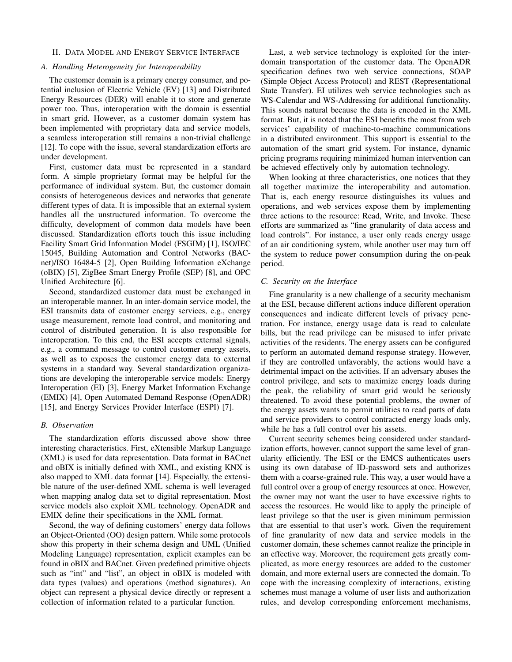## II. DATA MODEL AND ENERGY SERVICE INTERFACE

## *A. Handling Heterogeneity for Interoperability*

The customer domain is a primary energy consumer, and potential inclusion of Electric Vehicle (EV) [13] and Distributed Energy Resources (DER) will enable it to store and generate power too. Thus, interoperation with the domain is essential in smart grid. However, as a customer domain system has been implemented with proprietary data and service models, a seamless interoperation still remains a non-trivial challenge [12]. To cope with the issue, several standardization efforts are under development.

First, customer data must be represented in a standard form. A simple proprietary format may be helpful for the performance of individual system. But, the customer domain consists of heterogeneous devices and networks that generate different types of data. It is impossible that an external system handles all the unstructured information. To overcome the difficulty, development of common data models have been discussed. Standardization efforts touch this issue including Facility Smart Grid Information Model (FSGIM) [1], ISO/IEC 15045, Building Automation and Control Networks (BACnet)/ISO 16484-5 [2], Open Building Information eXchange (oBIX) [5], ZigBee Smart Energy Profile (SEP) [8], and OPC Unified Architecture [6].

Second, standardized customer data must be exchanged in an interoperable manner. In an inter-domain service model, the ESI transmits data of customer energy services, e.g., energy usage measurement, remote load control, and monitoring and control of distributed generation. It is also responsible for interoperation. To this end, the ESI accepts external signals, e.g., a command message to control customer energy assets, as well as to exposes the customer energy data to external systems in a standard way. Several standardization organizations are developing the interoperable service models: Energy Interoperation (EI) [3], Energy Market Information Exchange (EMIX) [4], Open Automated Demand Response (OpenADR) [15], and Energy Services Provider Interface (ESPI) [7].

## *B. Observation*

The standardization efforts discussed above show three interesting characteristics. First, eXtensible Markup Language (XML) is used for data representation. Data format in BACnet and oBIX is initially defined with XML, and existing KNX is also mapped to XML data format [14]. Especially, the extensible nature of the user-defined XML schema is well leveraged when mapping analog data set to digital representation. Most service models also exploit XML technology. OpenADR and EMIX define their specifications in the XML format.

Second, the way of defining customers' energy data follows an Object-Oriented (OO) design pattern. While some protocols show this property in their schema design and UML (Unified Modeling Language) representation, explicit examples can be found in oBIX and BACnet. Given predefined primitive objects such as "int" and "list", an object in oBIX is modeled with data types (values) and operations (method signatures). An object can represent a physical device directly or represent a collection of information related to a particular function.

Last, a web service technology is exploited for the interdomain transportation of the customer data. The OpenADR specification defines two web service connections, SOAP (Simple Object Access Protocol) and REST (Representational State Transfer). EI utilizes web service technologies such as WS-Calendar and WS-Addressing for additional functionality. This sounds natural because the data is encoded in the XML format. But, it is noted that the ESI benefits the most from web services' capability of machine-to-machine communications in a distributed environment. This support is essential to the automation of the smart grid system. For instance, dynamic pricing programs requiring minimized human intervention can be achieved effectively only by automation technology.

When looking at three characteristics, one notices that they all together maximize the interoperability and automation. That is, each energy resource distinguishes its values and operations, and web services expose them by implementing three actions to the resource: Read, Write, and Invoke. These efforts are summarized as "fine granularity of data access and load controls". For instance, a user only reads energy usage of an air conditioning system, while another user may turn off the system to reduce power consumption during the on-peak period.

## *C. Security on the Interface*

Fine granularity is a new challenge of a security mechanism at the ESI, because different actions induce different operation consequences and indicate different levels of privacy penetration. For instance, energy usage data is read to calculate bills, but the read privilege can be misused to infer private activities of the residents. The energy assets can be configured to perform an automated demand response strategy. However, if they are controlled unfavorably, the actions would have a detrimental impact on the activities. If an adversary abuses the control privilege, and sets to maximize energy loads during the peak, the reliability of smart grid would be seriously threatened. To avoid these potential problems, the owner of the energy assets wants to permit utilities to read parts of data and service providers to control contracted energy loads only, while he has a full control over his assets.

Current security schemes being considered under standardization efforts, however, cannot support the same level of granularity efficiently. The ESI or the EMCS authenticates users using its own database of ID-password sets and authorizes them with a coarse-grained rule. This way, a user would have a full control over a group of energy resources at once. However, the owner may not want the user to have excessive rights to access the resources. He would like to apply the principle of least privilege so that the user is given minimum permission that are essential to that user's work. Given the requirement of fine granularity of new data and service models in the customer domain, these schemes cannot realize the principle in an effective way. Moreover, the requirement gets greatly complicated, as more energy resources are added to the customer domain, and more external users are connected the domain. To cope with the increasing complexity of interactions, existing schemes must manage a volume of user lists and authorization rules, and develop corresponding enforcement mechanisms,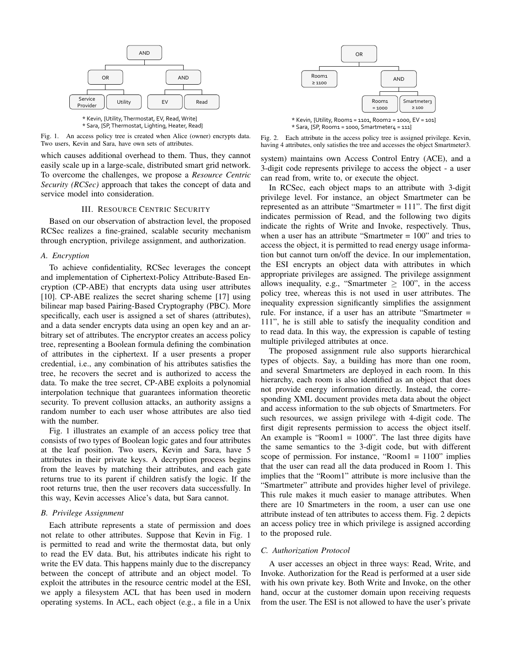





which causes additional overhead to them. Thus, they cannot easily scale up in a large-scale, distributed smart grid network. To overcome the challenges, we propose a *Resource Centric Security (RCSec)* approach that takes the concept of data and service model into consideration.

## III. RESOURCE CENTRIC SECURITY

Based on our observation of abstraction level, the proposed RCSec realizes a fine-grained, scalable security mechanism through encryption, privilege assignment, and authorization.

## *A. Encryption*

To achieve confidentiality, RCSec leverages the concept and implementation of Ciphertext-Policy Attribute-Based Encryption (CP-ABE) that encrypts data using user attributes [10]. CP-ABE realizes the secret sharing scheme [17] using bilinear map based Pairing-Based Cryptography (PBC). More specifically, each user is assigned a set of shares (attributes), and a data sender encrypts data using an open key and an arbitrary set of attributes. The encryptor creates an access policy tree, representing a Boolean formula defining the combination of attributes in the ciphertext. If a user presents a proper credential, i.e., any combination of his attributes satisfies the tree, he recovers the secret and is authorized to access the data. To make the tree secret, CP-ABE exploits a polynomial interpolation technique that guarantees information theoretic security. To prevent collusion attacks, an authority assigns a random number to each user whose attributes are also tied with the number.

Fig. 1 illustrates an example of an access policy tree that consists of two types of Boolean logic gates and four attributes at the leaf position. Two users, Kevin and Sara, have 5 attributes in their private keys. A decryption process begins from the leaves by matching their attributes, and each gate returns true to its parent if children satisfy the logic. If the root returns true, then the user recovers data successfully. In this way, Kevin accesses Alice's data, but Sara cannot.

### *B. Privilege Assignment*

Each attribute represents a state of permission and does not relate to other attributes. Suppose that Kevin in Fig. 1 is permitted to read and write the thermostat data, but only to read the EV data. But, his attributes indicate his right to write the EV data. This happens mainly due to the discrepancy between the concept of attribute and an object model. To exploit the attributes in the resource centric model at the ESI, we apply a filesystem ACL that has been used in modern operating systems. In ACL, each object (e.g., a file in a Unix



 $*$  Kevin, {Utility, Room1 = 1101, Room2 = 1000, EV = 101}  $*$  Sara, {SP, Room1 = 1000, Smartmeter4 = 111}



system) maintains own Access Control Entry (ACE), and a 3-digit code represents privilege to access the object - a user can read from, write to, or execute the object.

In RCSec, each object maps to an attribute with 3-digit privilege level. For instance, an object Smartmeter can be represented as an attribute "Smartmeter = 111". The first digit indicates permission of Read, and the following two digits indicate the rights of Write and Invoke, respectively. Thus, when a user has an attribute "Smartmeter  $= 100$ " and tries to access the object, it is permitted to read energy usage information but cannot turn on/off the device. In our implementation, the ESI encrypts an object data with attributes in which appropriate privileges are assigned. The privilege assignment allows inequality, e.g., "Smartmeter  $\geq 100$ ", in the access policy tree, whereas this is not used in user attributes. The inequality expression significantly simplifies the assignment rule. For instance, if a user has an attribute "Smartmeter = 111", he is still able to satisfy the inequality condition and to read data. In this way, the expression is capable of testing multiple privileged attributes at once.

The proposed assignment rule also supports hierarchical types of objects. Say, a building has more than one room, and several Smartmeters are deployed in each room. In this hierarchy, each room is also identified as an object that does not provide energy information directly. Instead, the corresponding XML document provides meta data about the object and access information to the sub objects of Smartmeters. For such resources, we assign privilege with 4-digit code. The first digit represents permission to access the object itself. An example is "Room1 =  $1000$ ". The last three digits have the same semantics to the 3-digit code, but with different scope of permission. For instance, "Room $1 = 1100$ " implies that the user can read all the data produced in Room 1. This implies that the "Room1" attribute is more inclusive than the "Smartmeter" attribute and provides higher level of privilege. This rule makes it much easier to manage attributes. When there are 10 Smartmeters in the room, a user can use one attribute instead of ten attributes to access them. Fig. 2 depicts an access policy tree in which privilege is assigned according to the proposed rule.

### *C. Authorization Protocol*

A user accesses an object in three ways: Read, Write, and Invoke. Authorization for the Read is performed at a user side with his own private key. Both Write and Invoke, on the other hand, occur at the customer domain upon receiving requests from the user. The ESI is not allowed to have the user's private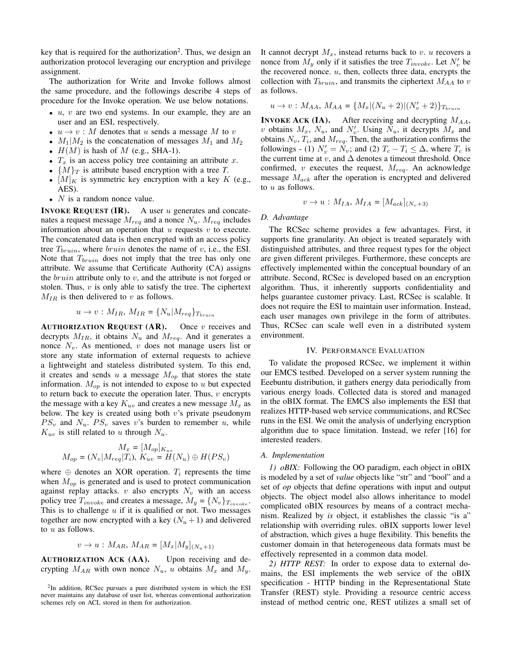key that is required for the authorization<sup>2</sup>. Thus, we design an authorization protocol leveraging our encryption and privilege assignment.

The authorization for Write and Invoke follows almost the same procedure, and the followings describe 4 steps of procedure for the Invoke operation. We use below notations.

- $u, v$  are two end systems. In our example, they are an user and an ESI, respectively.
- $u \to v$ : M denotes that u sends a message M to v
- $M_1|M_2$  is the concatenation of messages  $M_1$  and  $M_2$
- $H(M)$  is hash of M (e.g., SHA-1).
- $T_x$  is an access policy tree containing an attribute x.
- $\{M\}_T$  is attribute based encryption with a tree *T*.
- $[M]_K$  is symmetric key encryption with a key K (e.g., AES).
- $N$  is a random nonce value.

**INVOKE REQUEST (IR).** A user  $u$  generates and concatenates a request message  $M_{req}$  and a nonce  $N_u$ .  $M_{req}$  includes information about an operation that  $u$  requests  $v$  to execute. The concatenated data is then encrypted with an access policy tree  $T_{brwin}$ , where *bruin* denotes the name of v, i.e., the ESI. Note that  $T_{bruin}$  does not imply that the tree has only one attribute. We assume that Certificate Authority (CA) assigns the *bruin* attribute only to  $v$ , and the attribute is not forged or stolen. Thus,  $v$  is only able to satisfy the tree. The ciphertext  $M_{IR}$  is then delivered to v as follows.

$$
u \rightarrow v : M_{IR}, M_{IR} = \{N_u | M_{req}\}_{T_{bruin}}
$$

AUTHORIZATION REQUEST  $(AR)$ . Once v receives and decrypts  $M_{IR}$ , it obtains  $N_u$  and  $M_{req}$ . And it generates a nonce  $N_v$ . As mentioned, v does not manage users list or store any state information of external requests to achieve a lightweight and stateless distributed system. To this end, it creates and sends u a message  $M_{op}$  that stores the state information.  $M_{op}$  is not intended to expose to u but expected to return back to execute the operation later. Thus,  $v$  encrypts the message with a key  $K_{uv}$  and creates a new message  $M_x$  as below. The key is created using both  $v$ 's private pseudonym  $PS_v$  and  $N_u$ .  $PS_v$  saves v's burden to remember u, while  $K_{uv}$  is still related to u through  $N_u$ .

$$
M_x = [M_{op}]_{K_{uv}}
$$
  

$$
M_{op} = (N_v|M_{req}|T_i), K_{uv} = H(N_u) \oplus H(PS_v)
$$

where  $\oplus$  denotes an XOR operation.  $T_i$  represents the time when  $M_{op}$  is generated and is used to protect communication against replay attacks.  $v$  also encrypts  $N_v$  with an access policy tree  $T_{invoke}$  and creates a message,  $M_y = \{N_v\}_{T_{invoke}}$ . This is to challenge  $u$  if it is qualified or not. Two messages together are now encrypted with a key  $(N_u + 1)$  and delivered to  $u$  as follows.

$$
v \rightarrow u : M_{AR}, M_{AR} = [M_x | M_y]_{(N_u+1)}
$$

AUTHORIZATION ACK (AA). Upon receiving and decrypting  $M_{AR}$  with own nonce  $N_u$ , u obtains  $M_x$  and  $M_y$ . It cannot decrypt  $M_x$ , instead returns back to v. u recovers a nonce from  $M_y$  only if it satisfies the tree  $T_{invoke}$ . Let  $N'_v$  be the recovered nonce.  $u$ , then, collects three data, encrypts the collection with  $T_{brain}$ , and transmits the ciphertext  $M_{AA}$  to v as follows.

 $u \to v : M_{AA}, M_{AA} = \{M_x | (N_u + 2) | (N'_v + 2) \}_{T_{bruin}}$ 

**INVOKE ACK (IA).** After receiving and decrypting  $M_{AA}$ , v obtains  $M_x$ ,  $N_u$ , and  $N'_v$ . Using  $N_u$ , it decrypts  $M_x$  and obtains  $N_v$ ,  $T_i$ , and  $M_{req}$ . Then, the authorization confirms the followings - (1)  $N'_v = \hat{N}_v$ ; and (2)  $T_c - T_i \leq \Delta$ , where  $T_c$  is the current time at v, and  $\Delta$  denotes a timeout threshold. Once confirmed, v executes the request,  $M_{req}$ . An acknowledge message  $M_{ack}$  after the operation is encrypted and delivered to u as follows.

$$
v \rightarrow u : M_{IA}, M_{IA} = [M_{ack}]_{(N_v+3)}
$$

# *D. Advantage*

The RCSec scheme provides a few advantages. First, it supports fine granularity. An object is treated separately with distinguished attributes, and three request types for the object are given different privileges. Furthermore, these concepts are effectively implemented within the conceptual boundary of an attribute. Second, RCSec is developed based on an encryption algorithm. Thus, it inherently supports confidentiality and helps guarantee customer privacy. Last, RCSec is scalable. It does not require the ESI to maintain user information. Instead, each user manages own privilege in the form of attributes. Thus, RCSec can scale well even in a distributed system environment.

# IV. PERFORMANCE EVALUATION

To validate the proposed RCSec, we implement it within our EMCS testbed. Developed on a server system running the Eeebuntu distribution, it gathers energy data periodically from various energy loads. Collected data is stored and managed in the oBIX format. The EMCS also implements the ESI that realizes HTTP-based web service communications, and RCSec runs in the ESI. We omit the analysis of underlying encryption algorithm due to space limitation. Instead, we refer [16] for interested readers.

# *A. Implementation*

*1) oBIX:* Following the OO paradigm, each object in oBIX is modeled by a set of *value* objects like "str" and "bool" and a set of *op* objects that define operations with input and output objects. The object model also allows inheritance to model complicated oBIX resources by means of a contract mechanism. Realized by *is* object, it establishes the classic "is a" relationship with overriding rules. oBIX supports lower level of abstraction, which gives a huge flexibility. This benefits the customer domain in that heterogeneous data formats must be effectively represented in a common data model.

*2) HTTP REST:* In order to expose data to external domains, the ESI implements the web service of the oBIX specification - HTTP binding in the Representational State Transfer (REST) style. Providing a resource centric access instead of method centric one, REST utilizes a small set of

<sup>&</sup>lt;sup>2</sup>In addition, RCSec pursues a pure distributed system in which the ESI never maintains any database of user list, whereas conventional authorization schemes rely on ACL stored in them for authorization.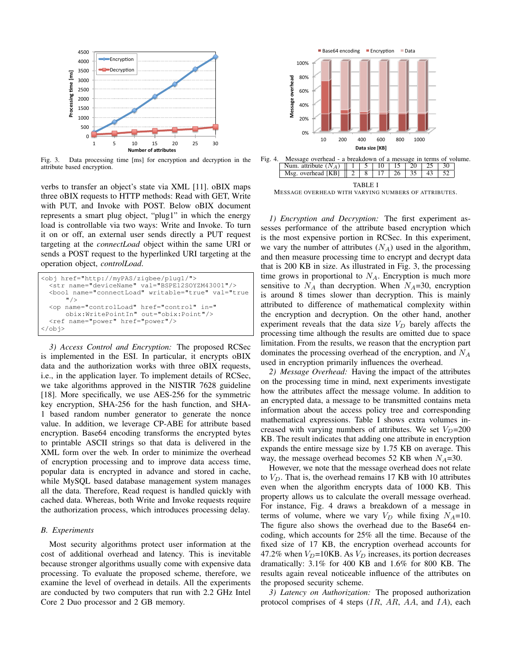

Fig. 3. Data processing time [ms] for encryption and decryption in the attribute based encryption.

verbs to transfer an object's state via XML [11]. oBIX maps three oBIX requests to HTTP methods: Read with GET, Write with PUT, and Invoke with POST. Below oBIX document represents a smart plug object, "plug1" in which the energy load is controllable via two ways: Write and Invoke. To turn it on or off, an external user sends directly a PUT request targeting at the *connectLoad* object within the same URI or sends a POST request to the hyperlinked URI targeting at the operation object, *controlLoad*.

```
<obj href="http://myPAS/zigbee/plug1/">
  <str name="deviceName" val="BSPE12SOYZM43001"/>
  <bool name="connectLoad" writable="true" val="true
      " />
  <op name="controlLoad" href="control" in="
      obix:WritePointIn" out="obix:Point"/>
  <ref name="power" href="power"/>
</obj>
```
*3) Access Control and Encryption:* The proposed RCSec is implemented in the ESI. In particular, it encrypts oBIX data and the authorization works with three oBIX requests, i.e., in the application layer. To implement details of RCSec, we take algorithms approved in the NISTIR 7628 guideline [18]. More specifically, we use AES-256 for the symmetric key encryption, SHA-256 for the hash function, and SHA-1 based random number generator to generate the nonce value. In addition, we leverage CP-ABE for attribute based encryption. Base64 encoding transforms the encrypted bytes to printable ASCII strings so that data is delivered in the XML form over the web. In order to minimize the overhead of encryption processing and to improve data access time, popular data is encrypted in advance and stored in cache, while MySQL based database management system manages all the data. Therefore, Read request is handled quickly with cached data. Whereas, both Write and Invoke requests require the authorization process, which introduces processing delay.

### *B. Experiments*

Most security algorithms protect user information at the cost of additional overhead and latency. This is inevitable because stronger algorithms usually come with expensive data processing. To evaluate the proposed scheme, therefore, we examine the level of overhead in details. All the experiments are conducted by two computers that run with 2.2 GHz Intel Core 2 Duo processor and 2 GB memory.



TABLE I MESSAGE OVERHEAD WITH VARYING NUMBERS OF ATTRIBUTES.

*1) Encryption and Decryption:* The first experiment assesses performance of the attribute based encryption which is the most expensive portion in RCSec. In this experiment, we vary the number of attributes  $(N_A)$  used in the algorithm, and then measure processing time to encrypt and decrypt data that is 200 KB in size. As illustrated in Fig. 3, the processing time grows in proportional to  $N_A$ . Encryption is much more sensitive to  $N_A$  than decryption. When  $N_A$ =30, encryption is around 8 times slower than decryption. This is mainly attributed to difference of mathematical complexity within the encryption and decryption. On the other hand, another experiment reveals that the data size  $V_D$  barely affects the processing time although the results are omitted due to space limitation. From the results, we reason that the encryption part dominates the processing overhead of the encryption, and  $N_A$ used in encryption primarily influences the overhead.

*2) Message Overhead:* Having the impact of the attributes on the processing time in mind, next experiments investigate how the attributes affect the message volume. In addition to an encrypted data, a message to be transmitted contains meta information about the access policy tree and corresponding mathematical expressions. Table I shows extra volumes increased with varying numbers of attributes. We set  $V_D$ =200 KB. The result indicates that adding one attribute in encryption expands the entire message size by 1.75 KB on average. This way, the message overhead becomes 52 KB when  $N_A$ =30.

However, we note that the message overhead does not relate to  $V_D$ . That is, the overhead remains 17 KB with 10 attributes even when the algorithm encrypts data of 1000 KB. This property allows us to calculate the overall message overhead. For instance, Fig. 4 draws a breakdown of a message in terms of volume, where we vary  $V_D$  while fixing  $N_A=10$ . The figure also shows the overhead due to the Base64 encoding, which accounts for 25% all the time. Because of the fixed size of 17 KB, the encryption overhead accounts for 47.2% when  $V_D$ =10KB. As  $V_D$  increases, its portion decreases dramatically: 3.1% for 400 KB and 1.6% for 800 KB. The results again reveal noticeable influence of the attributes on the proposed security scheme.

*3) Latency on Authorization:* The proposed authorization protocol comprises of 4 steps  $(IR, AR, AA, and IA)$ , each